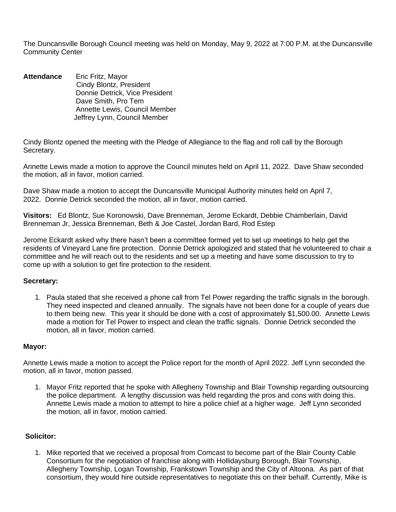The Duncansville Borough Council meeting was held on Monday, May 9, 2022 at 7:00 P.M. at the Duncansville Community Center

**Attendance** Eric Fritz, Mayor Cindy Blontz, President Donnie Detrick, Vice President Dave Smith, Pro Tem Annette Lewis, Council Member Jeffrey Lynn, Council Member

Cindy Blontz opened the meeting with the Pledge of Allegiance to the flag and roll call by the Borough Secretary.

Annette Lewis made a motion to approve the Council minutes held on April 11, 2022. Dave Shaw seconded the motion, all in favor, motion carried.

Dave Shaw made a motion to accept the Duncansville Municipal Authority minutes held on April 7, 2022. Donnie Detrick seconded the motion, all in favor, motion carried.

**Visitors:** Ed Blontz, Sue Koronowski, Dave Brenneman, Jerome Eckardt, Debbie Chamberlain, David Brenneman Jr, Jessica Brenneman, Beth & Joe Castel, Jordan Bard, Rod Estep

Jerome Eckardt asked why there hasn't been a committee formed yet to set up meetings to help get the residents of Vineyard Lane fire protection. Donnie Detrick apologized and stated that he volunteered to chair a committee and he will reach out to the residents and set up a meeting and have some discussion to try to come up with a solution to get fire protection to the resident.

### **Secretary:**

1. Paula stated that she received a phone call from Tel Power regarding the traffic signals in the borough. They need inspected and cleaned annually. The signals have not been done for a couple of years due to them being new. This year it should be done with a cost of approximately \$1,500.00. Annette Lewis made a motion for Tel Power to inspect and clean the traffic signals. Donnie Detrick seconded the motion, all in favor, motion carried.

### **Mayor:**

Annette Lewis made a motion to accept the Police report for the month of April 2022. Jeff Lynn seconded the motion, all in favor, motion passed.

1. Mayor Fritz reported that he spoke with Allegheny Township and Blair Township regarding outsourcing the police department. A lengthy discussion was held regarding the pros and cons with doing this. Annette Lewis made a motion to attempt to hire a police chief at a higher wage. Jeff Lynn seconded the motion, all in favor, motion carried.

## **Solicitor:**

1. Mike reported that we received a proposal from Comcast to become part of the Blair County Cable Consortium for the negotiation of franchise along with Hollidaysburg Borough, Blair Township, Allegheny Township, Logan Township, Frankstown Township and the City of Altoona. As part of that consortium, they would hire outside representatives to negotiate this on their behalf. Currently, Mike is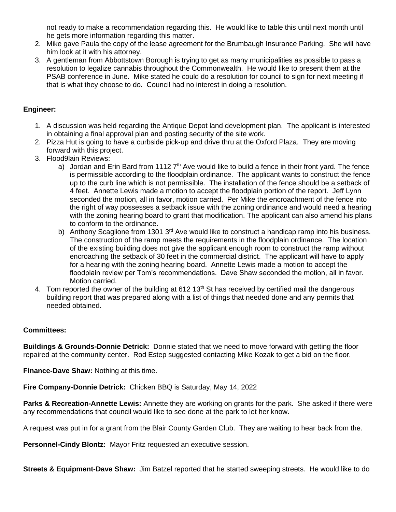not ready to make a recommendation regarding this. He would like to table this until next month until he gets more information regarding this matter.

- 2. Mike gave Paula the copy of the lease agreement for the Brumbaugh Insurance Parking. She will have him look at it with his attorney.
- 3. A gentleman from Abbottstown Borough is trying to get as many municipalities as possible to pass a resolution to legalize cannabis throughout the Commonwealth. He would like to present them at the PSAB conference in June. Mike stated he could do a resolution for council to sign for next meeting if that is what they choose to do. Council had no interest in doing a resolution.

# **Engineer:**

- 1. A discussion was held regarding the Antique Depot land development plan. The applicant is interested in obtaining a final approval plan and posting security of the site work.
- 2. Pizza Hut is going to have a curbside pick-up and drive thru at the Oxford Plaza. They are moving forward with this project.
- 3. Flood9lain Reviews:
	- a) Jordan and Erin Bard from 1112  $7<sup>th</sup>$  Ave would like to build a fence in their front yard. The fence is permissible according to the floodplain ordinance. The applicant wants to construct the fence up to the curb line which is not permissible. The installation of the fence should be a setback of 4 feet. Annette Lewis made a motion to accept the floodplain portion of the report. Jeff Lynn seconded the motion, all in favor, motion carried. Per Mike the encroachment of the fence into the right of way possesses a setback issue with the zoning ordinance and would need a hearing with the zoning hearing board to grant that modification. The applicant can also amend his plans to conform to the ordinance.
	- b) Anthony Scaglione from 1301  $3<sup>rd</sup>$  Ave would like to construct a handicap ramp into his business. The construction of the ramp meets the requirements in the floodplain ordinance. The location of the existing building does not give the applicant enough room to construct the ramp without encroaching the setback of 30 feet in the commercial district. The applicant will have to apply for a hearing with the zoning hearing board. Annette Lewis made a motion to accept the floodplain review per Tom's recommendations. Dave Shaw seconded the motion, all in favor. Motion carried.
- 4. Tom reported the owner of the building at 612 13<sup>th</sup> St has received by certified mail the dangerous building report that was prepared along with a list of things that needed done and any permits that needed obtained.

## **Committees:**

**Buildings & Grounds-Donnie Detrick:** Donnie stated that we need to move forward with getting the floor repaired at the community center. Rod Estep suggested contacting Mike Kozak to get a bid on the floor.

**Finance-Dave Shaw:** Nothing at this time.

**Fire Company-Donnie Detrick:** Chicken BBQ is Saturday, May 14, 2022

**Parks & Recreation-Annette Lewis:** Annette they are working on grants for the park. She asked if there were any recommendations that council would like to see done at the park to let her know.

A request was put in for a grant from the Blair County Garden Club. They are waiting to hear back from the.

**Personnel-Cindy Blontz:** Mayor Fritz requested an executive session.

**Streets & Equipment-Dave Shaw:** Jim Batzel reported that he started sweeping streets. He would like to do